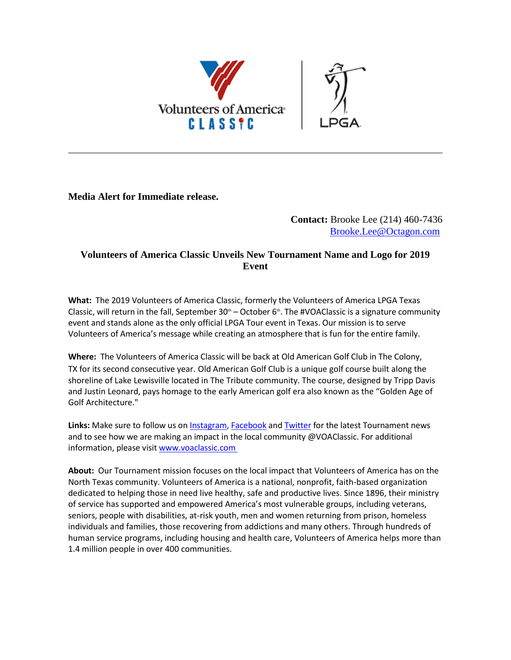

**Media Alert for Immediate release.**

## **Contact:** Brooke Lee (214) 460-7436 [Brooke.Lee@Octagon.com](mailto:Brooke.Lee@Octagon.com)

## **Volunteers of America Classic Unveils New Tournament Name and Logo for 2019 Event**

**What:** The 2019 Volunteers of America Classic, formerly the Volunteers of America LPGA Texas Classic, will return in the fall, September  $30<sup>th</sup>$  – October 6<sup>th</sup>. The #VOAClassic is a signature community event and stands alone as the only official LPGA Tour event in Texas. Our mission is to serve Volunteers of America's message while creating an atmosphere that is fun for the entire family.

**Where:** The Volunteers of America Classic will be back at Old American Golf Club in The Colony, TX for its second consecutive year. Old American Golf Club is a unique golf course built along the shoreline of Lake Lewisville located in The Tribute community. The course, designed by Tripp Davis and Justin Leonard, pays homage to the early American golf era also known as the "Golden Age of Golf Architecture."

Links: Make sure to follow us on **Instagram, [Facebook](http://email.prnewswire.com/wf/click?upn=3T3-2BMFZrIG7tzXNb5bHPa-2FMXHylzVTQHkO-2BhtGz6r3EZnoDrNyBsFLn0usQEC3o9rVSUxaq4eeqd7vX-2F60HzmducDSxkCyb7tcn5WYbel5YRCicgbDne8XHyn0QRScYbZIWJKYIaQDwiq3OtcR8j91kzwx3bajm9NRab2TPVSrAizmV-2B0bOR4jzgR82uzKRKW6foKTWl7IhvWPWIyqDJw4rXaU-2FEQMtifcxQjVXyYSw-3D_NuzLxX7ye-2BuNa9m5dYPQJmqkVeCEV-2FEi9wpA4mJVHPBzcsrCnBGnsFbVe7YUhbjEZw5B6YTblYfLd19FCJ-2FnNtTztNaEt1COMU65Y-2F7k6OopkMhMvgmP3CvP0T-2B25ie4E3413cnX3SSGtO9PjSuPXEbDHsm7-2BtiRZ6vGo15tLIMQUmaSqm-2FfkACQYCxx1Rkz2AvXUQGDwKal9sZhG-2F09kSJ6Bg-2BKHOynIIiHuhJNAkS6Te4jnqFQHwvKotBa3TbBm8cEQVkvwxiX-2FiCXv-2BECidAyvH8STZGol2x9P7rRG-2FnYqCINvQm7tj75RwrA-2Bqm5) and [Twitter](http://email.prnewswire.com/wf/click?upn=3T3-2BMFZrIG7tzXNb5bHPa-2FMXHylzVTQHkO-2BhtGz6r3EZnoDrNyBsFLn0usQEC3o9rVSUxaq4eeqd7vX-2F60HzmducDSxkCyb7tcn5WYbel5YRCicgbDne8XHyn0QRScYbZIWJKYIaQDwiq3OtcR8j91kzwx3bajm9NRab2TPVSrAizmV-2B0bOR4jzgR82uzKRKn4ArNG3p-2BWNmh-2FdceySf8vLpnlgiYYRyTqnITu1JAY0-3D_NuzLxX7ye-2BuNa9m5dYPQJmqkVeCEV-2FEi9wpA4mJVHPBzcsrCnBGnsFbVe7YUhbjEZw5B6YTblYfLd19FCJ-2FnNtTztNaEt1COMU65Y-2F7k6OopkMhMvgmP3CvP0T-2B25ie4E3413cnX3SSGtO9PjSuPXEbDHsm7-2BtiRZ6vGo15tLIMmw3rYUN-2B9SK9s8c6IJkhmWElNGJG7j3ChKkTt2t-2FpBWUeUjW8Ffptc4FnxFL02xByJOLOlpiH9jI7P-2FUFLXays1OlxCKuU0WeucuXrXmCoK2GskiO4XGgRu-2BpxuP9b8SXT6AqULA85skcxKpmIuFD)** for the latest Tournament news and to see how we are making an impact in the local community @VOAClassic. For additional information, please visi[t www.voaclassic.com](http://email.prnewswire.com/wf/click?upn=3T3-2BMFZrIG7tzXNb5bHPa-2FMXHylzVTQHkO-2BhtGz6r3EZnoDrNyBsFLn0usQEC3o9rVSUxaq4eeqd7vX-2F60HzmducDSxkCyb7tcn5WYbel5YRCicgbDne8XHyn0QRScYbZIWJKYIaQDwiq3OtcR8j91kzwx3bajm9NRab2TPVSrAizmV-2B0bOR4jzgR82uzKRKwlMVbUobD7-2F9RPeSyrGD0x26J-2FlixwE-2B0ukJ5wKzhpo-3D_NuzLxX7ye-2BuNa9m5dYPQJmqkVeCEV-2FEi9wpA4mJVHPBzcsrCnBGnsFbVe7YUhbjEZw5B6YTblYfLd19FCJ-2FnNtTztNaEt1COMU65Y-2F7k6OopkMhMvgmP3CvP0T-2B25ie4E3413cnX3SSGtO9PjSuPXEbDHsm7-2BtiRZ6vGo15tLIOgDiutlPohhR6xKooP7SQ29GJGNO7vdQOOMHfJa4NpY1PKmUBF0UsfjFJFZiSc7-2B5OlvoiId40NaB7Rg0QkGlM-2Fk78Yj-2Buo-2Fat-2Bfh11bTzUlsUrHpYnnB3TYggV75Pfq7v5LCObZX-2B6WVwdGYLNPZF)

**About:** Our Tournament mission focuses on the local impact that Volunteers of America has on the North Texas community. Volunteers of America is a national, nonprofit, faith-based organization dedicated to helping those in need live healthy, safe and productive lives. Since 1896, their ministry of service has supported and empowered America's most vulnerable groups, including veterans, seniors, people with disabilities, at-risk youth, men and women returning from prison, homeless individuals and families, those recovering from addictions and many others. Through hundreds of human service programs, including housing and health care, Volunteers of America helps more than 1.4 million people in over 400 communities.